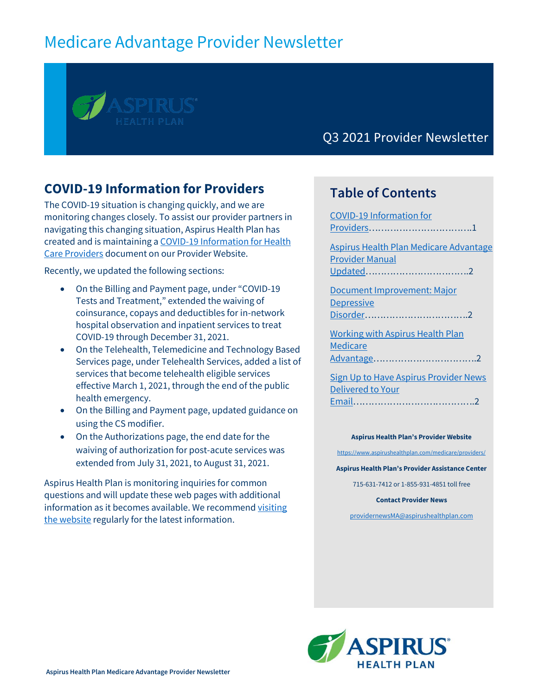# Medicare Advantage Provider Newsletter

Q3 2021 Provider Newsletter

### <span id="page-0-0"></span>**COVID-19 Information for Providers**

The COVID-19 situation is changing quickly, and we are monitoring changes closely. To assist our provider partners in navigating this changing situation, Aspirus Health Plan has created and is maintaining [a COVID-19 Information for Health](https://www.aspirushealthplan.com/medicare/wp-content/uploads/provider/documents/COVIDInfoProviders_ASP.pdf)  [Care Providers](https://www.aspirushealthplan.com/medicare/wp-content/uploads/provider/documents/COVIDInfoProviders_ASP.pdf) document on our Provider Website.

Recently, we updated the following sections:

- On the Billing and Payment page, under "COVID-19 Tests and Treatment," extended the waiving of coinsurance, copays and deductibles for in-network hospital observation and inpatient services to treat COVID-19 through December 31, 2021.
- On the Telehealth, Telemedicine and Technology Based Services page, under Telehealth Services, added a list of services that become telehealth eligible services effective March 1, 2021, through the end of the public health emergency.
- On the Billing and Payment page, updated guidance on using the CS modifier.
- On the Authorizations page, the end date for the waiving of authorization for post-acute services was extended from July 31, 2021, to August 31, 2021.

Aspirus Health Plan is monitoring inquiries for common questions and will update these web pages with additional information as it becomes available. We recommen[d visiting](https://www.aspirushealthplan.com/medicare/providers/)  [the website](https://www.aspirushealthplan.com/medicare/providers/) regularly for the latest information.

### **Table of Contents**

[COVID-19 Information for](#page-0-0)  [Providers](#page-0-0)…………………………….1 [Aspirus Health Plan Medicare Advantage](#page-1-0)  [Provider Manual](#page-1-0)  [Updated](#page-1-0)…………………………….2 [Document Improvement: Major](#page-1-1)  **Depressive** [Disorder](#page-1-1)…………………………….2 [Working with Aspirus Health Plan](#page-1-2)  [Medicare](#page-1-2)  [Advantage](#page-1-2)…………………………….2 [Sign Up to Have Aspirus Provider News](#page-1-3) 

[Delivered to Your](#page-1-3)  [Email](#page-1-3)………………………………….2

### **Aspirus Health Plan's Provider Website**

<https://www.aspirushealthplan.com/medicare/providers/>

**Aspirus Health Plan's Provider Assistance Center**

715-631-7412 or 1-855-931-4851 toll free

**Contact Provider News**

[providernewsMA@aspirushealthplan.com](mailto:providernewsMA@aspirushealthplan.com)